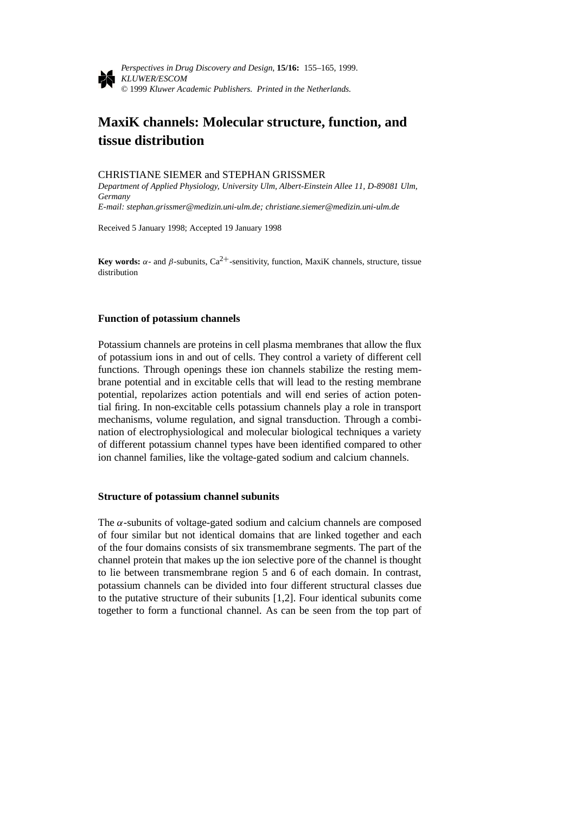

*Perspectives in Drug Discovery and Design*, **15/16:** 155–165, 1999. *KLUWER/ESCOM* © 1999 *Kluwer Academic Publishers. Printed in the Netherlands.*

# **MaxiK channels: Molecular structure, function, and tissue distribution**

# CHRISTIANE SIEMER and STEPHAN GRISSMER

*Department of Applied Physiology, University Ulm, Albert-Einstein Allee 11, D-89081 Ulm, Germany*

*E-mail: stephan.grissmer@medizin.uni-ulm.de; christiane.siemer@medizin.uni-ulm.de*

Received 5 January 1998; Accepted 19 January 1998

**Key words:**  $\alpha$ - and  $\beta$ -subunits, Ca<sup>2+</sup>-sensitivity, function, MaxiK channels, structure, tissue distribution

# **Function of potassium channels**

Potassium channels are proteins in cell plasma membranes that allow the flux of potassium ions in and out of cells. They control a variety of different cell functions. Through openings these ion channels stabilize the resting membrane potential and in excitable cells that will lead to the resting membrane potential, repolarizes action potentials and will end series of action potential firing. In non-excitable cells potassium channels play a role in transport mechanisms, volume regulation, and signal transduction. Through a combination of electrophysiological and molecular biological techniques a variety of different potassium channel types have been identified compared to other ion channel families, like the voltage-gated sodium and calcium channels.

#### **Structure of potassium channel subunits**

The  $\alpha$ -subunits of voltage-gated sodium and calcium channels are composed of four similar but not identical domains that are linked together and each of the four domains consists of six transmembrane segments. The part of the channel protein that makes up the ion selective pore of the channel is thought to lie between transmembrane region 5 and 6 of each domain. In contrast, potassium channels can be divided into four different structural classes due to the putative structure of their subunits [1,2]. Four identical subunits come together to form a functional channel. As can be seen from the top part of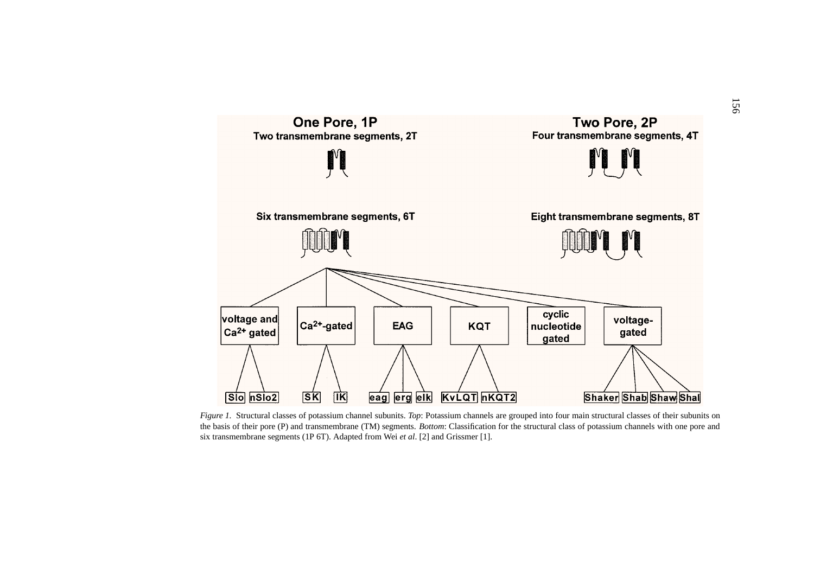

*Figure 1.* Structural classes of potassium channel subunits. *Top*: Potassium channels are grouped into four main structural classes of their subunits on the basis of their pore (P) and transmembrane (TM) segments. *Bottom*: Classification for the structural class of potassium channels with one pore and six transmembrane segments (1P 6T). Adapted from Wei *et al*. [2] and Grissmer [1].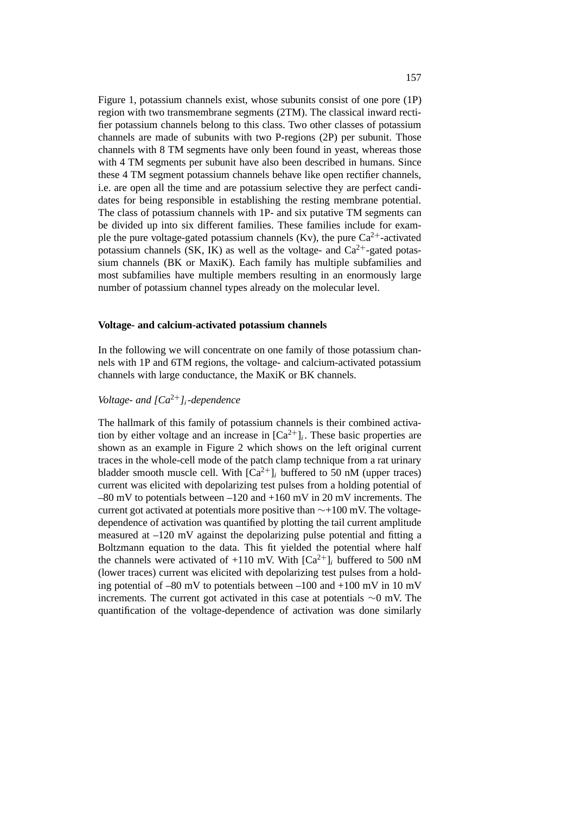Figure 1, potassium channels exist, whose subunits consist of one pore (1P) region with two transmembrane segments (2TM). The classical inward rectifier potassium channels belong to this class. Two other classes of potassium channels are made of subunits with two P-regions (2P) per subunit. Those channels with 8 TM segments have only been found in yeast, whereas those with 4 TM segments per subunit have also been described in humans. Since these 4 TM segment potassium channels behave like open rectifier channels, i.e. are open all the time and are potassium selective they are perfect candidates for being responsible in establishing the resting membrane potential. The class of potassium channels with 1P- and six putative TM segments can be divided up into six different families. These families include for example the pure voltage-gated potassium channels (Kv), the pure  $Ca^{2+}$ -activated potassium channels (SK, IK) as well as the voltage- and  $Ca^{2+}$ -gated potassium channels (BK or MaxiK). Each family has multiple subfamilies and most subfamilies have multiple members resulting in an enormously large number of potassium channel types already on the molecular level.

### **Voltage- and calcium-activated potassium channels**

In the following we will concentrate on one family of those potassium channels with 1P and 6TM regions, the voltage- and calcium-activated potassium channels with large conductance, the MaxiK or BK channels.

# *Voltage- and [Ca*<sup>2</sup>+*]i-dependence*

The hallmark of this family of potassium channels is their combined activation by either voltage and an increase in  $[Ca^{2+}]_i$ . These basic properties are shown as an example in Figure 2 which shows on the left original current traces in the whole-cell mode of the patch clamp technique from a rat urinary bladder smooth muscle cell. With  $[Ca^{2+}]_i$  buffered to 50 nM (upper traces) current was elicited with depolarizing test pulses from a holding potential of  $-80$  mV to potentials between  $-120$  and  $+160$  mV in 20 mV increments. The current got activated at potentials more positive than ∼+100 mV. The voltagedependence of activation was quantified by plotting the tail current amplitude measured at –120 mV against the depolarizing pulse potential and fitting a Boltzmann equation to the data. This fit yielded the potential where half the channels were activated of  $+110$  mV. With  $[Ca^{2+}]$ *i* buffered to 500 nM (lower traces) current was elicited with depolarizing test pulses from a holding potential of  $-80$  mV to potentials between  $-100$  and  $+100$  mV in 10 mV increments. The current got activated in this case at potentials ∼0 mV. The quantification of the voltage-dependence of activation was done similarly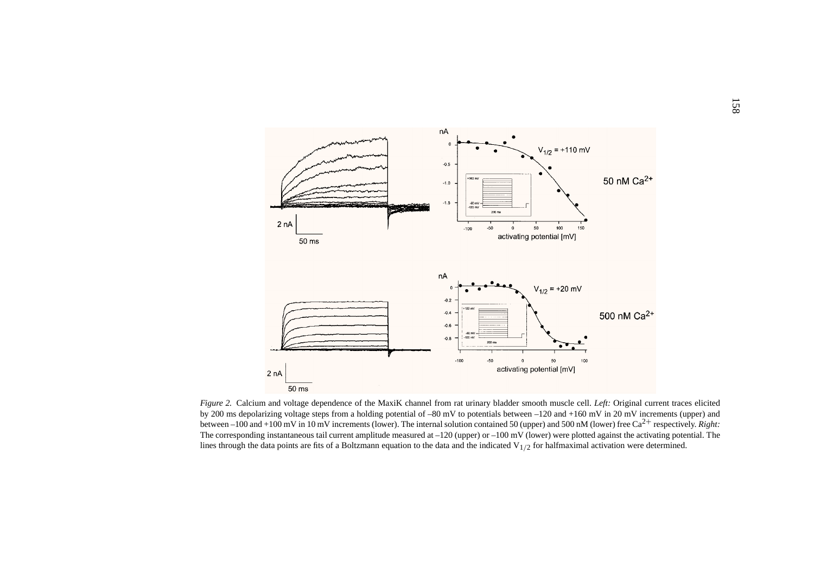

*Figure 2.* Calcium and voltage dependence of the MaxiK channel from rat urinary bladder smooth muscle cell. *Left:* Original current traces elicited by 200 ms depolarizing voltage steps from <sup>a</sup> holding potential of –80 mV to potentials between –120 and +160 mV in 20 mV increments (upper) and between –100 and +100 mV in 10 mV increments (lower). The internal solution contained 50 (upper) and 500 nM (lower) free Ca<sup>2+</sup> respectively. *Right:* The corresponding instantaneous tail current amplitude measured at  $-120$  (upper) or  $-100$  mV (lower) were plotted against the activating potential. The lines through the data points are fits of a Boltzmann equation to the data and the indicated  $V_{1/2}$  for halfmaximal activation were determined.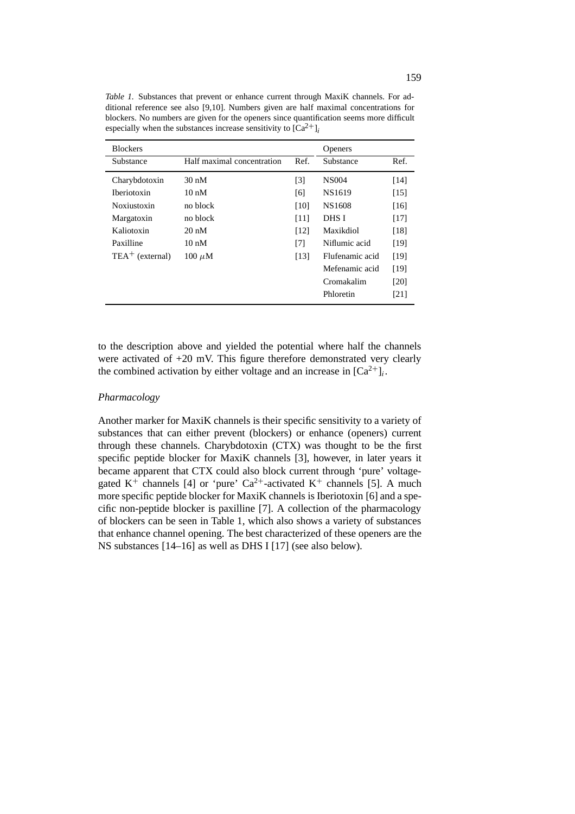| <b>Blockers</b>    |                            |                   | <b>Openers</b>  |      |
|--------------------|----------------------------|-------------------|-----------------|------|
| Substance          | Half maximal concentration | Ref.              | Substance       | Ref. |
| Charybdotoxin      | $30 \text{ nM}$            | $\lceil 3 \rceil$ | <b>NS004</b>    | [14] |
| <b>Iberiotoxin</b> | $10 \text{ nM}$            | [6]               | NS1619          | [15] |
| Noxiustoxin        | no block                   | [10]              | NS1608          | [16] |
| Margatoxin         | no block                   | [11]              | DHS I           | [17] |
| Kaliotoxin         | $20 \text{ nM}$            | [12]              | Maxikdiol       | [18] |
| Paxilline          | $10 \text{ nM}$            | [7]               | Niflumic acid   | [19] |
| $TEA+$ (external)  | $100 \mu M$                | [13]              | Flufenamic acid | [19] |
|                    |                            |                   | Mefenamic acid  | [19] |
|                    |                            |                   | Cromakalim      | [20] |
|                    |                            |                   | Phloretin       | [21] |

*Table 1.* Substances that prevent or enhance current through MaxiK channels. For additional reference see also [9,10]. Numbers given are half maximal concentrations for blockers. No numbers are given for the openers since quantification seems more difficult especially when the substances increase sensitivity to  $\left[\text{Ca}^{2+}\right]_i$ 

to the description above and yielded the potential where half the channels were activated of +20 mV. This figure therefore demonstrated very clearly the combined activation by either voltage and an increase in  $[Ca^{2+}]i$ .

# *Pharmacology*

Another marker for MaxiK channels is their specific sensitivity to a variety of substances that can either prevent (blockers) or enhance (openers) current through these channels. Charybdotoxin (CTX) was thought to be the first specific peptide blocker for MaxiK channels [3], however, in later years it became apparent that CTX could also block current through 'pure' voltagegated  $K^+$  channels [4] or 'pure' Ca<sup>2+</sup>-activated  $K^+$  channels [5]. A much more specific peptide blocker for MaxiK channels is Iberiotoxin [6] and a specific non-peptide blocker is paxilline [7]. A collection of the pharmacology of blockers can be seen in Table 1, which also shows a variety of substances that enhance channel opening. The best characterized of these openers are the NS substances [14–16] as well as DHS I [17] (see also below).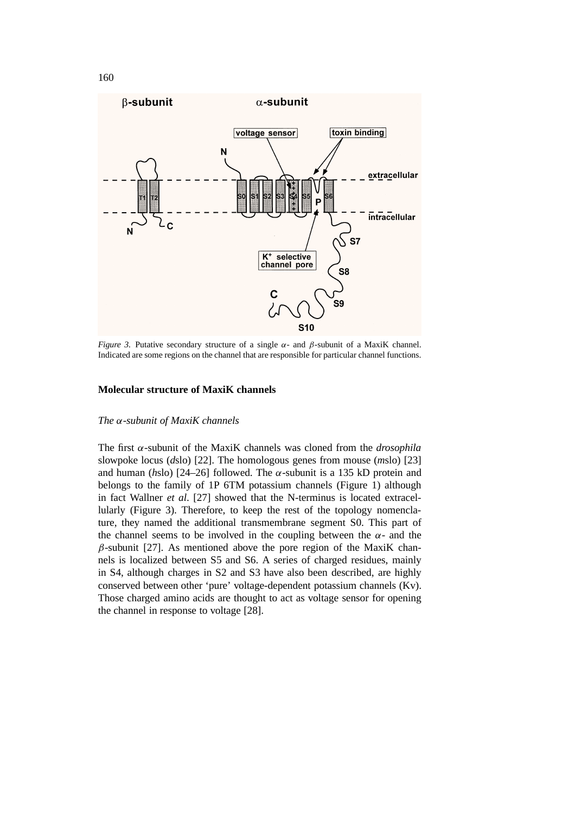

*Figure 3.* Putative secondary structure of a single *α*- and *β*-subunit of a MaxiK channel. Indicated are some regions on the channel that are responsible for particular channel functions.

### **Molecular structure of MaxiK channels**

#### *The α-subunit of MaxiK channels*

The first *α*-subunit of the MaxiK channels was cloned from the *drosophila* slowpoke locus (*d*slo) [22]. The homologous genes from mouse (*m*slo) [23] and human ( $h$ slo) [24–26] followed. The  $\alpha$ -subunit is a 135 kD protein and belongs to the family of 1P 6TM potassium channels (Figure 1) although in fact Wallner *et al*. [27] showed that the N-terminus is located extracellularly (Figure 3). Therefore, to keep the rest of the topology nomenclature, they named the additional transmembrane segment S0. This part of the channel seems to be involved in the coupling between the  $\alpha$ - and the *β*-subunit [27]. As mentioned above the pore region of the MaxiK channels is localized between S5 and S6. A series of charged residues, mainly in S4, although charges in S2 and S3 have also been described, are highly conserved between other 'pure' voltage-dependent potassium channels (Kv). Those charged amino acids are thought to act as voltage sensor for opening the channel in response to voltage [28].

160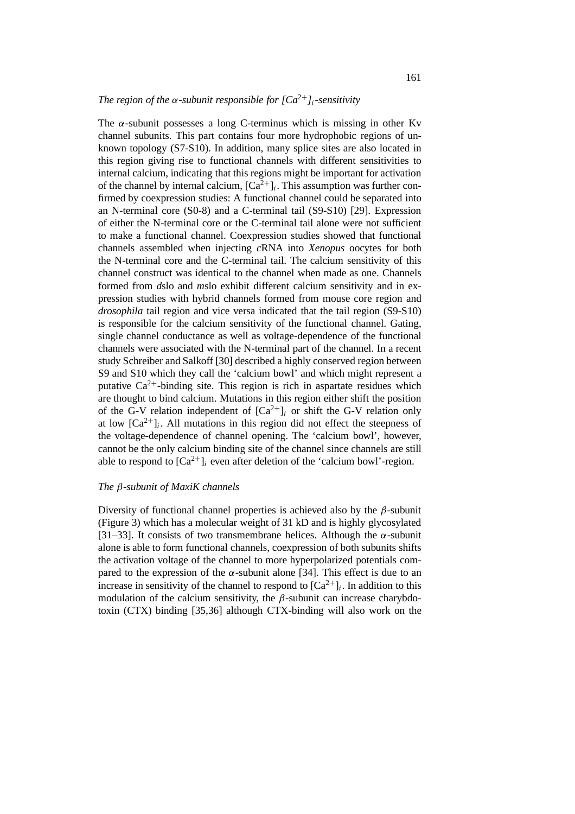# *The region of the*  $\alpha$ *-subunit responsible for*  $\int Ca^{2+}$ *]<sub>i</sub>*-sensitivity

The  $\alpha$ -subunit possesses a long C-terminus which is missing in other Ky channel subunits. This part contains four more hydrophobic regions of unknown topology (S7-S10). In addition, many splice sites are also located in this region giving rise to functional channels with different sensitivities to internal calcium, indicating that this regions might be important for activation of the channel by internal calcium,  $[Ca^{2+}]_i$ . This assumption was further confirmed by coexpression studies: A functional channel could be separated into an N-terminal core (S0-8) and a C-terminal tail (S9-S10) [29]. Expression of either the N-terminal core or the C-terminal tail alone were not sufficient to make a functional channel. Coexpression studies showed that functional channels assembled when injecting *c*RNA into *Xenopus* oocytes for both the N-terminal core and the C-terminal tail. The calcium sensitivity of this channel construct was identical to the channel when made as one. Channels formed from *d*slo and *m*slo exhibit different calcium sensitivity and in expression studies with hybrid channels formed from mouse core region and *drosophila* tail region and vice versa indicated that the tail region (S9-S10) is responsible for the calcium sensitivity of the functional channel. Gating, single channel conductance as well as voltage-dependence of the functional channels were associated with the N-terminal part of the channel. In a recent study Schreiber and Salkoff [30] described a highly conserved region between S9 and S10 which they call the 'calcium bowl' and which might represent a putative  $Ca^{2+}$ -binding site. This region is rich in aspartate residues which are thought to bind calcium. Mutations in this region either shift the position of the G-V relation independent of  $[Ca^{2+}]_i$  or shift the G-V relation only at low  $[Ca^{2+}]_i$ . All mutations in this region did not effect the steepness of the voltage-dependence of channel opening. The 'calcium bowl', however, cannot be the only calcium binding site of the channel since channels are still able to respond to  $[Ca^{2+}]$ *i* even after deletion of the 'calcium bowl'-region.

#### *The β-subunit of MaxiK channels*

Diversity of functional channel properties is achieved also by the *β*-subunit (Figure 3) which has a molecular weight of 31 kD and is highly glycosylated [31–33]. It consists of two transmembrane helices. Although the  $\alpha$ -subunit alone is able to form functional channels, coexpression of both subunits shifts the activation voltage of the channel to more hyperpolarized potentials compared to the expression of the  $\alpha$ -subunit alone [34]. This effect is due to an increase in sensitivity of the channel to respond to  $[Ca^{2+}]$ *i*. In addition to this modulation of the calcium sensitivity, the  $\beta$ -subunit can increase charybdotoxin (CTX) binding [35,36] although CTX-binding will also work on the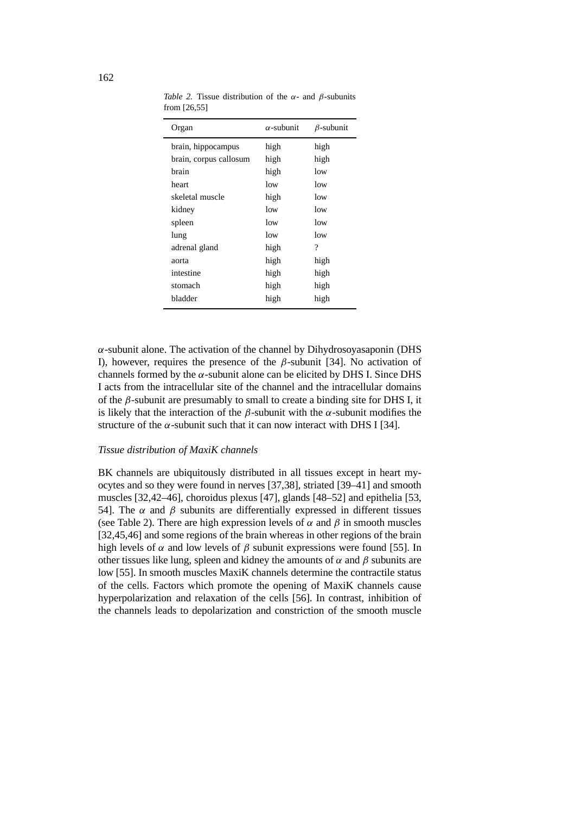| Organ                  | $\alpha$ -subunit | $\beta$ -subunit |
|------------------------|-------------------|------------------|
| brain, hippocampus     | high              | high             |
| brain, corpus callosum | high              | high             |
| brain                  | high              | low              |
| heart                  | low               | low              |
| skeletal muscle        | high              | low              |
| kidney                 | low               | low              |
| spleen                 | low               | low              |
| lung                   | low               | low              |
| adrenal gland          | high              | ?                |
| aorta                  | high              | high             |
| intestine              | high              | high             |
| stomach                | high              | high             |
| bladder                | high              | high             |
|                        |                   |                  |

*Table 2.* Tissue distribution of the *α*- and *β*-subunits from [26,55]

*α*-subunit alone. The activation of the channel by Dihydrosoyasaponin (DHS I), however, requires the presence of the *β*-subunit [34]. No activation of channels formed by the  $\alpha$ -subunit alone can be elicited by DHS I. Since DHS I acts from the intracellular site of the channel and the intracellular domains of the *β*-subunit are presumably to small to create a binding site for DHS I, it is likely that the interaction of the  $\beta$ -subunit with the  $\alpha$ -subunit modifies the structure of the  $\alpha$ -subunit such that it can now interact with DHS I [34].

#### *Tissue distribution of MaxiK channels*

BK channels are ubiquitously distributed in all tissues except in heart myocytes and so they were found in nerves [37,38], striated [39–41] and smooth muscles [32,42–46], choroidus plexus [47], glands [48–52] and epithelia [53, 54]. The *α* and *β* subunits are differentially expressed in different tissues (see Table 2). There are high expression levels of  $\alpha$  and  $\beta$  in smooth muscles [32,45,46] and some regions of the brain whereas in other regions of the brain high levels of  $\alpha$  and low levels of  $\beta$  subunit expressions were found [55]. In other tissues like lung, spleen and kidney the amounts of  $\alpha$  and  $\beta$  subunits are low [55]. In smooth muscles MaxiK channels determine the contractile status of the cells. Factors which promote the opening of MaxiK channels cause hyperpolarization and relaxation of the cells [56]. In contrast, inhibition of the channels leads to depolarization and constriction of the smooth muscle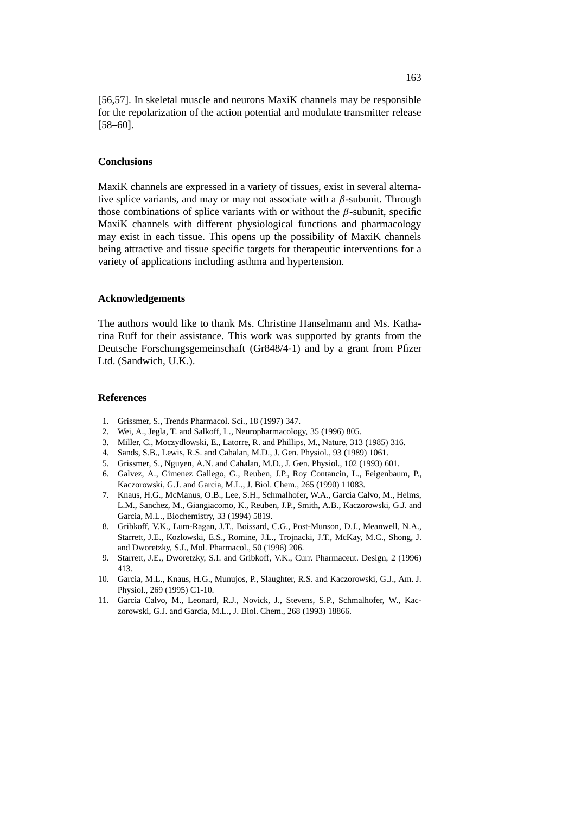[56,57]. In skeletal muscle and neurons MaxiK channels may be responsible for the repolarization of the action potential and modulate transmitter release [58–60].

# **Conclusions**

MaxiK channels are expressed in a variety of tissues, exist in several alternative splice variants, and may or may not associate with a *β*-subunit. Through those combinations of splice variants with or without the  $\beta$ -subunit, specific MaxiK channels with different physiological functions and pharmacology may exist in each tissue. This opens up the possibility of MaxiK channels being attractive and tissue specific targets for therapeutic interventions for a variety of applications including asthma and hypertension.

### **Acknowledgements**

The authors would like to thank Ms. Christine Hanselmann and Ms. Katharina Ruff for their assistance. This work was supported by grants from the Deutsche Forschungsgemeinschaft (Gr848/4-1) and by a grant from Pfizer Ltd. (Sandwich, U.K.).

# **References**

- 1. Grissmer, S., Trends Pharmacol. Sci., 18 (1997) 347.
- 2. Wei, A., Jegla, T. and Salkoff, L., Neuropharmacology, 35 (1996) 805.
- 3. Miller, C., Moczydlowski, E., Latorre, R. and Phillips, M., Nature, 313 (1985) 316.
- 4. Sands, S.B., Lewis, R.S. and Cahalan, M.D., J. Gen. Physiol., 93 (1989) 1061.
- 5. Grissmer, S., Nguyen, A.N. and Cahalan, M.D., J. Gen. Physiol., 102 (1993) 601.
- 6. Galvez, A., Gimenez Gallego, G., Reuben, J.P., Roy Contancin, L., Feigenbaum, P., Kaczorowski, G.J. and Garcia, M.L., J. Biol. Chem., 265 (1990) 11083.
- 7. Knaus, H.G., McManus, O.B., Lee, S.H., Schmalhofer, W.A., Garcia Calvo, M., Helms, L.M., Sanchez, M., Giangiacomo, K., Reuben, J.P., Smith, A.B., Kaczorowski, G.J. and Garcia, M.L., Biochemistry, 33 (1994) 5819.
- 8. Gribkoff, V.K., Lum-Ragan, J.T., Boissard, C.G., Post-Munson, D.J., Meanwell, N.A., Starrett, J.E., Kozlowski, E.S., Romine, J.L., Trojnacki, J.T., McKay, M.C., Shong, J. and Dworetzky, S.I., Mol. Pharmacol., 50 (1996) 206.
- 9. Starrett, J.E., Dworetzky, S.I. and Gribkoff, V.K., Curr. Pharmaceut. Design, 2 (1996) 413.
- 10. Garcia, M.L., Knaus, H.G., Munujos, P., Slaughter, R.S. and Kaczorowski, G.J., Am. J. Physiol., 269 (1995) C1-10.
- 11. Garcia Calvo, M., Leonard, R.J., Novick, J., Stevens, S.P., Schmalhofer, W., Kaczorowski, G.J. and Garcia, M.L., J. Biol. Chem., 268 (1993) 18866.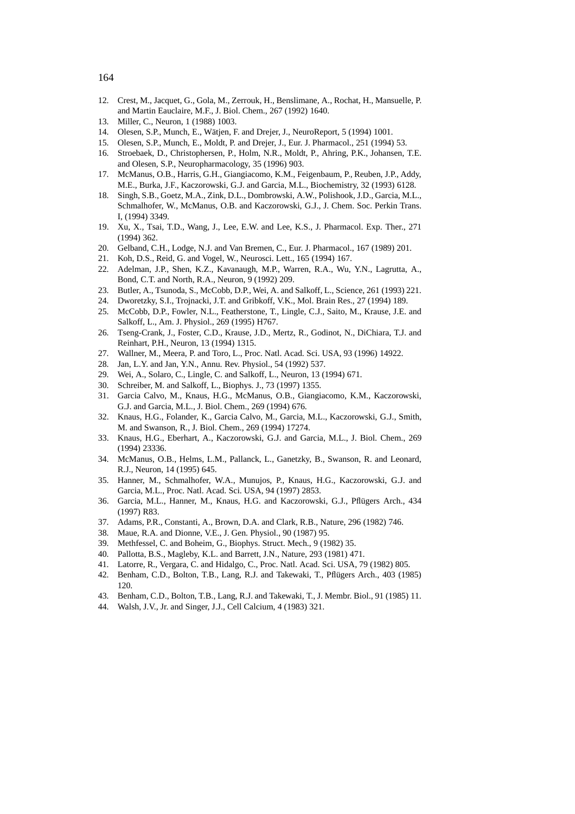- 12. Crest, M., Jacquet, G., Gola, M., Zerrouk, H., Benslimane, A., Rochat, H., Mansuelle, P. and Martin Eauclaire, M.F., J. Biol. Chem., 267 (1992) 1640.
- 13. Miller, C., Neuron, 1 (1988) 1003.
- 14. Olesen, S.P., Munch, E., Wätjen, F. and Drejer, J., NeuroReport, 5 (1994) 1001.
- 15. Olesen, S.P., Munch, E., Moldt, P. and Drejer, J., Eur. J. Pharmacol., 251 (1994) 53.
- 16. Stroebaek, D., Christophersen, P., Holm, N.R., Moldt, P., Ahring, P.K., Johansen, T.E. and Olesen, S.P., Neuropharmacology, 35 (1996) 903.
- 17. McManus, O.B., Harris, G.H., Giangiacomo, K.M., Feigenbaum, P., Reuben, J.P., Addy, M.E., Burka, J.F., Kaczorowski, G.J. and Garcia, M.L., Biochemistry, 32 (1993) 6128.
- 18. Singh, S.B., Goetz, M.A., Zink, D.L., Dombrowski, A.W., Polishook, J.D., Garcia, M.L., Schmalhofer, W., McManus, O.B. and Kaczorowski, G.J., J. Chem. Soc. Perkin Trans. I, (1994) 3349.
- 19. Xu, X., Tsai, T.D., Wang, J., Lee, E.W. and Lee, K.S., J. Pharmacol. Exp. Ther., 271 (1994) 362.
- 20. Gelband, C.H., Lodge, N.J. and Van Bremen, C., Eur. J. Pharmacol., 167 (1989) 201.
- 21. Koh, D.S., Reid, G. and Vogel, W., Neurosci. Lett., 165 (1994) 167.
- 22. Adelman, J.P., Shen, K.Z., Kavanaugh, M.P., Warren, R.A., Wu, Y.N., Lagrutta, A., Bond, C.T. and North, R.A., Neuron, 9 (1992) 209.
- 23. Butler, A., Tsunoda, S., McCobb, D.P., Wei, A. and Salkoff, L., Science, 261 (1993) 221.
- 24. Dworetzky, S.I., Trojnacki, J.T. and Gribkoff, V.K., Mol. Brain Res., 27 (1994) 189.
- 25. McCobb, D.P., Fowler, N.L., Featherstone, T., Lingle, C.J., Saito, M., Krause, J.E. and Salkoff, L., Am. J. Physiol., 269 (1995) H767.
- 26. Tseng-Crank, J., Foster, C.D., Krause, J.D., Mertz, R., Godinot, N., DiChiara, T.J. and Reinhart, P.H., Neuron, 13 (1994) 1315.
- 27. Wallner, M., Meera, P. and Toro, L., Proc. Natl. Acad. Sci. USA, 93 (1996) 14922.
- 28. Jan, L.Y. and Jan, Y.N., Annu. Rev. Physiol., 54 (1992) 537.
- 29. Wei, A., Solaro, C., Lingle, C. and Salkoff, L., Neuron, 13 (1994) 671.
- 30. Schreiber, M. and Salkoff, L., Biophys. J., 73 (1997) 1355.
- 31. Garcia Calvo, M., Knaus, H.G., McManus, O.B., Giangiacomo, K.M., Kaczorowski, G.J. and Garcia, M.L., J. Biol. Chem., 269 (1994) 676.
- 32. Knaus, H.G., Folander, K., Garcia Calvo, M., Garcia, M.L., Kaczorowski, G.J., Smith, M. and Swanson, R., J. Biol. Chem., 269 (1994) 17274.
- 33. Knaus, H.G., Eberhart, A., Kaczorowski, G.J. and Garcia, M.L., J. Biol. Chem., 269 (1994) 23336.
- 34. McManus, O.B., Helms, L.M., Pallanck, L., Ganetzky, B., Swanson, R. and Leonard, R.J., Neuron, 14 (1995) 645.
- 35. Hanner, M., Schmalhofer, W.A., Munujos, P., Knaus, H.G., Kaczorowski, G.J. and Garcia, M.L., Proc. Natl. Acad. Sci. USA, 94 (1997) 2853.
- 36. Garcia, M.L., Hanner, M., Knaus, H.G. and Kaczorowski, G.J., Pflügers Arch., 434 (1997) R83.
- 37. Adams, P.R., Constanti, A., Brown, D.A. and Clark, R.B., Nature, 296 (1982) 746.
- 38. Maue, R.A. and Dionne, V.E., J. Gen. Physiol., 90 (1987) 95.
- 39. Methfessel, C. and Boheim, G., Biophys. Struct. Mech., 9 (1982) 35.
- 40. Pallotta, B.S., Magleby, K.L. and Barrett, J.N., Nature, 293 (1981) 471.
- 41. Latorre, R., Vergara, C. and Hidalgo, C., Proc. Natl. Acad. Sci. USA, 79 (1982) 805.
- 42. Benham, C.D., Bolton, T.B., Lang, R.J. and Takewaki, T., Pflügers Arch., 403 (1985) 120.
- 43. Benham, C.D., Bolton, T.B., Lang, R.J. and Takewaki, T., J. Membr. Biol., 91 (1985) 11.
- 44. Walsh, J.V., Jr. and Singer, J.J., Cell Calcium, 4 (1983) 321.